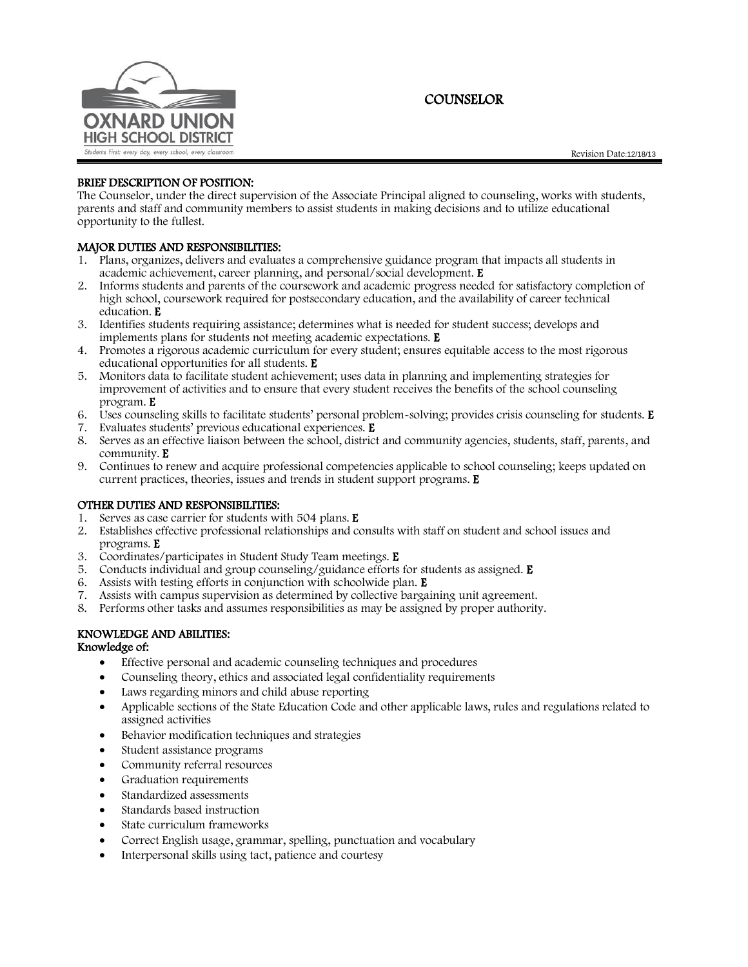

**COUNSELOR** 

# BRIEF DESCRIPTION OF POSITION:

The Counselor, under the direct supervision of the Associate Principal aligned to counseling, works with students, parents and staff and community members to assist students in making decisions and to utilize educational opportunity to the fullest.

# MAJOR DUTIES AND RESPONSIBILITIES:

- 1. Plans, organizes, delivers and evaluates a comprehensive guidance program that impacts all students in academic achievement, career planning, and personal/social development. E
- 2. Informs students and parents of the coursework and academic progress needed for satisfactory completion of high school, coursework required for postsecondary education, and the availability of career technical education. E
- 3. Identifies students requiring assistance; determines what is needed for student success; develops and implements plans for students not meeting academic expectations. E
- 4. Promotes a rigorous academic curriculum for every student; ensures equitable access to the most rigorous educational opportunities for all students. E
- 5. Monitors data to facilitate student achievement; uses data in planning and implementing strategies for improvement of activities and to ensure that every student receives the benefits of the school counseling program. E
- 6. Uses counseling skills to facilitate students' personal problem-solving; provides crisis counseling for students. E
- 7. Evaluates students' previous educational experiences. E
- 8. Serves as an effective liaison between the school, district and community agencies, students, staff, parents, and community. E
- 9. Continues to renew and acquire professional competencies applicable to school counseling; keeps updated on current practices, theories, issues and trends in student support programs. E

## OTHER DUTIES AND RESPONSIBILITIES:

- 1. Serves as case carrier for students with 504 plans. E
- 2. Establishes effective professional relationships and consults with staff on student and school issues and programs. E
- 3. Coordinates/participates in Student Study Team meetings. E
- 5. Conducts individual and group counseling/guidance efforts for students as assigned. E
- 6. Assists with testing efforts in conjunction with schoolwide plan. E
- 7. Assists with campus supervision as determined by collective bargaining unit agreement.
- 8. Performs other tasks and assumes responsibilities as may be assigned by proper authority.

# KNOWLEDGE AND ABILITIES:

## Knowledge of:

- Effective personal and academic counseling techniques and procedures
- Counseling theory, ethics and associated legal confidentiality requirements
- Laws regarding minors and child abuse reporting
- Applicable sections of the State Education Code and other applicable laws, rules and regulations related to assigned activities
- Behavior modification techniques and strategies
- Student assistance programs
- Community referral resources
- Graduation requirements
- Standardized assessments
- Standards based instruction
- State curriculum frameworks
- Correct English usage, grammar, spelling, punctuation and vocabulary
- Interpersonal skills using tact, patience and courtesy